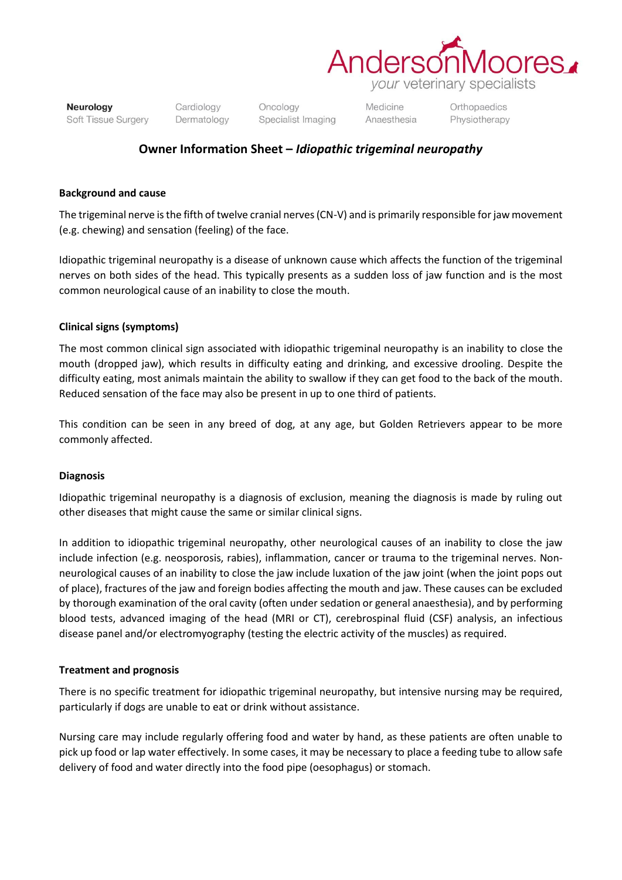

Neurology Soft Tissue Surgery Cardiology Dermatology Oncology Specialist Imaging **Medicine** Anaesthesia Orthopaedics Physiotherapy

# **Owner Information Sheet –** *Idiopathic trigeminal neuropathy*

### **Background and cause**

The trigeminal nerve is the fifth of twelve cranial nerves (CN-V) and is primarily responsible for jaw movement (e.g. chewing) and sensation (feeling) of the face.

Idiopathic trigeminal neuropathy is a disease of unknown cause which affects the function of the trigeminal nerves on both sides of the head. This typically presents as a sudden loss of jaw function and is the most common neurological cause of an inability to close the mouth.

## **Clinical signs (symptoms)**

The most common clinical sign associated with idiopathic trigeminal neuropathy is an inability to close the mouth (dropped jaw), which results in difficulty eating and drinking, and excessive drooling. Despite the difficulty eating, most animals maintain the ability to swallow if they can get food to the back of the mouth. Reduced sensation of the face may also be present in up to one third of patients.

This condition can be seen in any breed of dog, at any age, but Golden Retrievers appear to be more commonly affected.

#### **Diagnosis**

Idiopathic trigeminal neuropathy is a diagnosis of exclusion, meaning the diagnosis is made by ruling out other diseases that might cause the same or similar clinical signs.

In addition to idiopathic trigeminal neuropathy, other neurological causes of an inability to close the jaw include infection (e.g. neosporosis, rabies), inflammation, cancer or trauma to the trigeminal nerves. Nonneurological causes of an inability to close the jaw include luxation of the jaw joint (when the joint pops out of place), fractures of the jaw and foreign bodies affecting the mouth and jaw. These causes can be excluded by thorough examination of the oral cavity (often under sedation or general anaesthesia), and by performing blood tests, advanced imaging of the head (MRI or CT), cerebrospinal fluid (CSF) analysis, an infectious disease panel and/or electromyography (testing the electric activity of the muscles) as required.

#### **Treatment and prognosis**

There is no specific treatment for idiopathic trigeminal neuropathy, but intensive nursing may be required, particularly if dogs are unable to eat or drink without assistance.

Nursing care may include regularly offering food and water by hand, as these patients are often unable to pick up food or lap water effectively. In some cases, it may be necessary to place a feeding tube to allow safe delivery of food and water directly into the food pipe (oesophagus) or stomach.